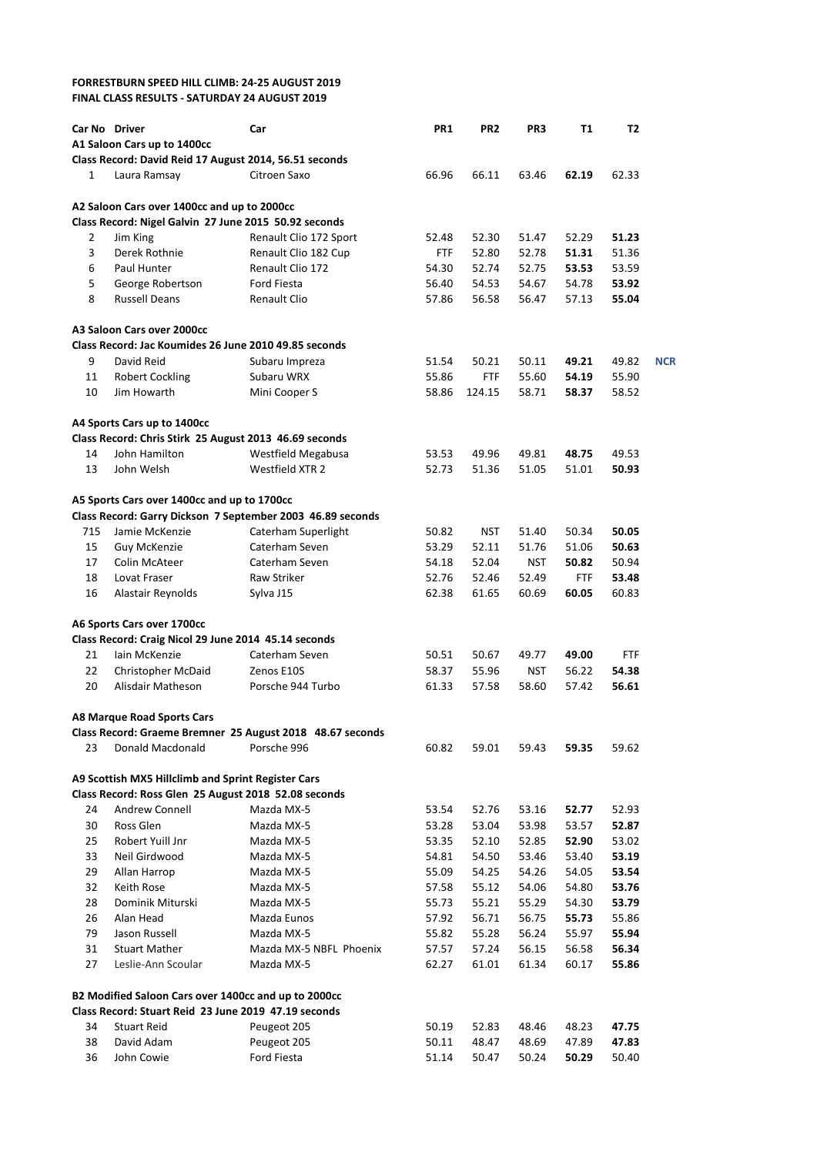## **FORRESTBURN SPEED HILL CLIMB: 24-25 AUGUST 2019 FINAL CLASS RESULTS - SATURDAY 24 AUGUST 2019**

|              | Car No Driver                                          | Car                                                        | <b>PR1</b> | PR <sub>2</sub> | PR3        | <b>T1</b>  | T2    |            |
|--------------|--------------------------------------------------------|------------------------------------------------------------|------------|-----------------|------------|------------|-------|------------|
|              | A1 Saloon Cars up to 1400cc                            |                                                            |            |                 |            |            |       |            |
|              | Class Record: David Reid 17 August 2014, 56.51 seconds |                                                            |            |                 |            |            |       |            |
| $\mathbf{1}$ | Laura Ramsay                                           | Citroen Saxo                                               | 66.96      | 66.11           | 63.46      | 62.19      | 62.33 |            |
|              | A2 Saloon Cars over 1400cc and up to 2000cc            |                                                            |            |                 |            |            |       |            |
|              | Class Record: Nigel Galvin 27 June 2015 50.92 seconds  |                                                            |            |                 |            |            |       |            |
| 2            | Jim King                                               | Renault Clio 172 Sport                                     | 52.48      | 52.30           | 51.47      | 52.29      | 51.23 |            |
| 3            | Derek Rothnie                                          | Renault Clio 182 Cup                                       | FTF        | 52.80           | 52.78      | 51.31      | 51.36 |            |
| 6            | Paul Hunter                                            | Renault Clio 172                                           | 54.30      | 52.74           | 52.75      | 53.53      | 53.59 |            |
| 5            | George Robertson                                       | <b>Ford Fiesta</b>                                         | 56.40      | 54.53           | 54.67      | 54.78      | 53.92 |            |
| 8            | <b>Russell Deans</b>                                   | <b>Renault Clio</b>                                        | 57.86      | 56.58           | 56.47      | 57.13      | 55.04 |            |
|              | A3 Saloon Cars over 2000cc                             |                                                            |            |                 |            |            |       |            |
|              | Class Record: Jac Koumides 26 June 2010 49.85 seconds  |                                                            |            |                 |            |            |       |            |
| 9            | David Reid                                             | Subaru Impreza                                             | 51.54      | 50.21           | 50.11      | 49.21      | 49.82 | <b>NCR</b> |
| 11           | <b>Robert Cockling</b>                                 | Subaru WRX                                                 | 55.86      | <b>FTF</b>      | 55.60      | 54.19      | 55.90 |            |
| 10           | Jim Howarth                                            | Mini Cooper S                                              | 58.86      | 124.15          | 58.71      | 58.37      | 58.52 |            |
|              | A4 Sports Cars up to 1400cc                            |                                                            |            |                 |            |            |       |            |
|              | Class Record: Chris Stirk 25 August 2013 46.69 seconds |                                                            |            |                 |            |            |       |            |
| 14           | John Hamilton                                          | Westfield Megabusa                                         | 53.53      | 49.96           | 49.81      | 48.75      | 49.53 |            |
| 13           | John Welsh                                             | Westfield XTR 2                                            | 52.73      | 51.36           | 51.05      | 51.01      | 50.93 |            |
|              | A5 Sports Cars over 1400cc and up to 1700cc            |                                                            |            |                 |            |            |       |            |
|              |                                                        | Class Record: Garry Dickson 7 September 2003 46.89 seconds |            |                 |            |            |       |            |
| 715          | Jamie McKenzie                                         | Caterham Superlight                                        | 50.82      | NST             | 51.40      | 50.34      | 50.05 |            |
| 15           | Guy McKenzie                                           | Caterham Seven                                             | 53.29      | 52.11           | 51.76      | 51.06      | 50.63 |            |
| 17           | <b>Colin McAteer</b>                                   | Caterham Seven                                             | 54.18      | 52.04           | <b>NST</b> | 50.82      | 50.94 |            |
| 18           | Lovat Fraser                                           | <b>Raw Striker</b>                                         | 52.76      | 52.46           | 52.49      | <b>FTF</b> | 53.48 |            |
| 16           | Alastair Reynolds                                      | Sylva J15                                                  | 62.38      | 61.65           | 60.69      | 60.05      | 60.83 |            |
|              | A6 Sports Cars over 1700cc                             |                                                            |            |                 |            |            |       |            |
|              | Class Record: Craig Nicol 29 June 2014 45.14 seconds   |                                                            |            |                 |            |            |       |            |
| 21           | lain McKenzie                                          | Caterham Seven                                             | 50.51      | 50.67           | 49.77      | 49.00      | FTF   |            |
| 22           | Christopher McDaid                                     | Zenos E10S                                                 | 58.37      | 55.96           | <b>NST</b> | 56.22      | 54.38 |            |
| 20           | Alisdair Matheson                                      | Porsche 944 Turbo                                          | 61.33      | 57.58           | 58.60      | 57.42      | 56.61 |            |
|              | <b>A8 Marque Road Sports Cars</b>                      |                                                            |            |                 |            |            |       |            |
|              |                                                        | Class Record: Graeme Bremner 25 August 2018 48.67 seconds  |            |                 |            |            |       |            |
| 23           | Donald Macdonald                                       | Porsche 996                                                | 60.82      | 59.01           | 59.43      | 59.35      | 59.62 |            |
|              | A9 Scottish MX5 Hillclimb and Sprint Register Cars     |                                                            |            |                 |            |            |       |            |
|              | Class Record: Ross Glen 25 August 2018 52.08 seconds   |                                                            |            |                 |            |            |       |            |
| 24           | Andrew Connell                                         | Mazda MX-5                                                 | 53.54      | 52.76           | 53.16      | 52.77      | 52.93 |            |
| 30           | Ross Glen                                              | Mazda MX-5                                                 | 53.28      | 53.04           | 53.98      | 53.57      | 52.87 |            |
| 25           | Robert Yuill Jnr                                       | Mazda MX-5                                                 | 53.35      | 52.10           | 52.85      | 52.90      | 53.02 |            |
| 33           | Neil Girdwood                                          | Mazda MX-5                                                 | 54.81      | 54.50           | 53.46      | 53.40      | 53.19 |            |
| 29           | Allan Harrop                                           | Mazda MX-5                                                 | 55.09      | 54.25           | 54.26      | 54.05      | 53.54 |            |
| 32           | Keith Rose                                             | Mazda MX-5                                                 | 57.58      | 55.12           | 54.06      | 54.80      | 53.76 |            |
| 28           | Dominik Miturski                                       | Mazda MX-5                                                 | 55.73      | 55.21           | 55.29      | 54.30      | 53.79 |            |
| 26           | Alan Head                                              | Mazda Eunos                                                | 57.92      | 56.71           | 56.75      | 55.73      | 55.86 |            |
| 79           | Jason Russell                                          | Mazda MX-5                                                 | 55.82      | 55.28           | 56.24      | 55.97      | 55.94 |            |
| 31           | <b>Stuart Mather</b>                                   | Mazda MX-5 NBFL Phoenix                                    | 57.57      | 57.24           | 56.15      | 56.58      | 56.34 |            |
| 27           | Leslie-Ann Scoular                                     | Mazda MX-5                                                 | 62.27      | 61.01           | 61.34      | 60.17      | 55.86 |            |
|              | B2 Modified Saloon Cars over 1400cc and up to 2000cc   |                                                            |            |                 |            |            |       |            |
|              | Class Record: Stuart Reid 23 June 2019 47.19 seconds   |                                                            |            |                 |            |            |       |            |
| 34           | <b>Stuart Reid</b>                                     | Peugeot 205                                                | 50.19      | 52.83           | 48.46      | 48.23      | 47.75 |            |
| 38           | David Adam                                             | Peugeot 205                                                | 50.11      | 48.47           | 48.69      | 47.89      | 47.83 |            |
| 36           | John Cowie                                             | Ford Fiesta                                                | 51.14      | 50.47           | 50.24      | 50.29      | 50.40 |            |
|              |                                                        |                                                            |            |                 |            |            |       |            |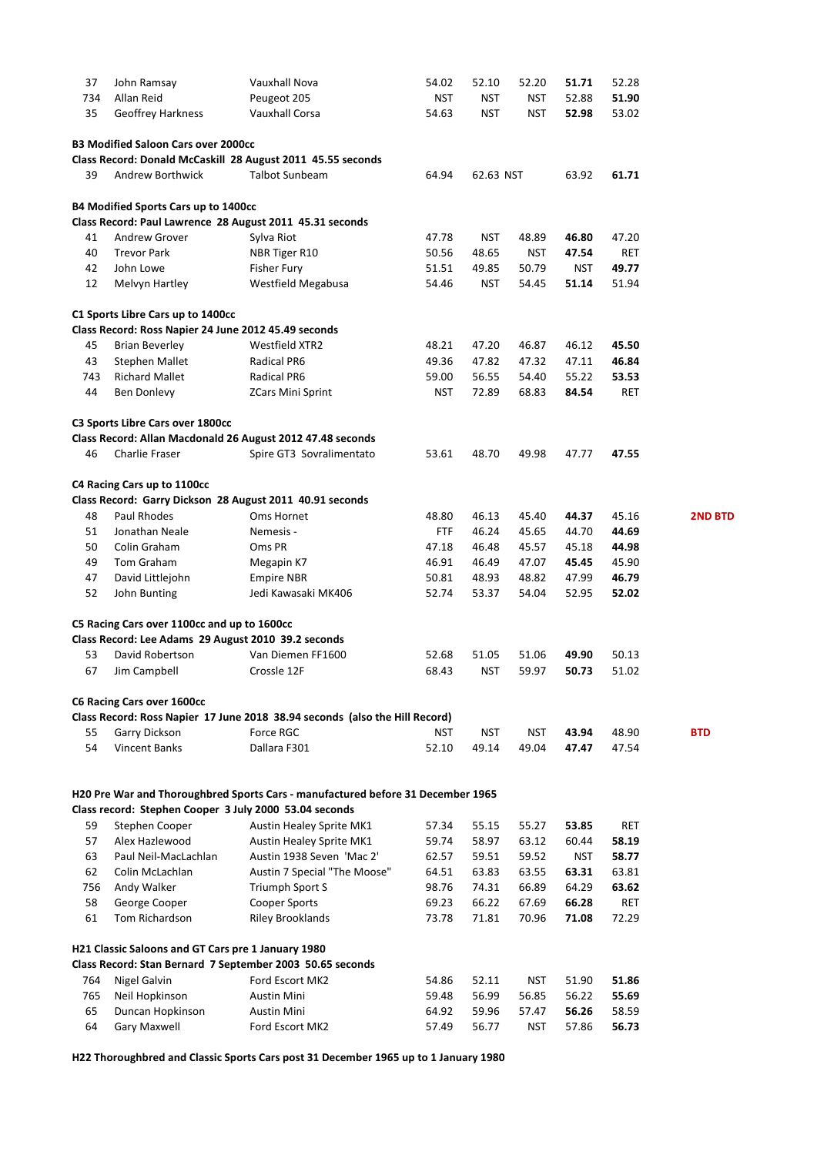| 37       | John Ramsay                                            | Vauxhall Nova                                                                   | 54.02          | 52.10          | 52.20          | 51.71          | 52.28               |                |
|----------|--------------------------------------------------------|---------------------------------------------------------------------------------|----------------|----------------|----------------|----------------|---------------------|----------------|
| 734      | Allan Reid                                             | Peugeot 205                                                                     | <b>NST</b>     | <b>NST</b>     | <b>NST</b>     | 52.88          | 51.90               |                |
| 35       | Geoffrey Harkness                                      | <b>Vauxhall Corsa</b>                                                           | 54.63          | <b>NST</b>     | <b>NST</b>     | 52.98          | 53.02               |                |
|          | <b>B3 Modified Saloon Cars over 2000cc</b>             |                                                                                 |                |                |                |                |                     |                |
|          |                                                        | Class Record: Donald McCaskill 28 August 2011 45.55 seconds                     |                |                |                |                |                     |                |
| 39       | <b>Andrew Borthwick</b>                                | <b>Talbot Sunbeam</b>                                                           | 64.94          | 62.63 NST      |                | 63.92          | 61.71               |                |
|          | <b>B4 Modified Sports Cars up to 1400cc</b>            |                                                                                 |                |                |                |                |                     |                |
|          |                                                        | Class Record: Paul Lawrence 28 August 2011 45.31 seconds                        |                |                |                |                |                     |                |
| 41       | Andrew Grover                                          | Sylva Riot                                                                      | 47.78          | <b>NST</b>     | 48.89          | 46.80          | 47.20               |                |
| 40       | <b>Trevor Park</b>                                     | NBR Tiger R10                                                                   | 50.56          | 48.65          | <b>NST</b>     | 47.54          | RET                 |                |
| 42       | John Lowe                                              | Fisher Fury                                                                     | 51.51          | 49.85          | 50.79          | <b>NST</b>     | 49.77               |                |
| 12       | Melvyn Hartley                                         | Westfield Megabusa                                                              | 54.46          | NST            | 54.45          | 51.14          | 51.94               |                |
|          | C1 Sports Libre Cars up to 1400cc                      |                                                                                 |                |                |                |                |                     |                |
|          | Class Record: Ross Napier 24 June 2012 45.49 seconds   |                                                                                 |                |                |                |                |                     |                |
| 45       | <b>Brian Beverley</b>                                  | Westfield XTR2                                                                  | 48.21          | 47.20          | 46.87          | 46.12          | 45.50               |                |
| 43       | <b>Stephen Mallet</b>                                  | Radical PR6                                                                     | 49.36          | 47.82          | 47.32          | 47.11          | 46.84               |                |
| 743      | <b>Richard Mallet</b>                                  | Radical PR6                                                                     | 59.00          | 56.55          | 54.40          | 55.22          | 53.53               |                |
| 44       | Ben Donlevy                                            | <b>ZCars Mini Sprint</b>                                                        | <b>NST</b>     | 72.89          | 68.83          | 84.54          | <b>RET</b>          |                |
|          |                                                        |                                                                                 |                |                |                |                |                     |                |
|          | C3 Sports Libre Cars over 1800cc                       | Class Record: Allan Macdonald 26 August 2012 47.48 seconds                      |                |                |                |                |                     |                |
| 46       | Charlie Fraser                                         | Spire GT3 Sovralimentato                                                        | 53.61          | 48.70          | 49.98          | 47.77          | 47.55               |                |
|          |                                                        |                                                                                 |                |                |                |                |                     |                |
|          | C4 Racing Cars up to 1100cc                            |                                                                                 |                |                |                |                |                     |                |
|          |                                                        | Class Record: Garry Dickson 28 August 2011 40.91 seconds                        |                |                |                |                |                     |                |
| 48       | Paul Rhodes                                            | Oms Hornet                                                                      | 48.80          | 46.13          | 45.40          | 44.37          | 45.16               | <b>2ND BTD</b> |
| 51       | Jonathan Neale                                         | Nemesis -                                                                       | <b>FTF</b>     | 46.24          | 45.65          | 44.70          | 44.69               |                |
| 50       | Colin Graham                                           | Oms PR                                                                          | 47.18          | 46.48          | 45.57          | 45.18          | 44.98               |                |
| 49       | Tom Graham                                             | Megapin K7                                                                      | 46.91          | 46.49          | 47.07          | 45.45          | 45.90               |                |
| 47       | David Littlejohn                                       | <b>Empire NBR</b>                                                               | 50.81          | 48.93          | 48.82          | 47.99          | 46.79               |                |
| 52       | John Bunting                                           | Jedi Kawasaki MK406                                                             | 52.74          | 53.37          | 54.04          | 52.95          | 52.02               |                |
|          | C5 Racing Cars over 1100cc and up to 1600cc            |                                                                                 |                |                |                |                |                     |                |
|          | Class Record: Lee Adams 29 August 2010 39.2 seconds    |                                                                                 |                |                |                |                |                     |                |
| 53       | David Robertson                                        | Van Diemen FF1600                                                               | 52.68          | 51.05          | 51.06          | 49.90          | 50.13               |                |
| 67       | Jim Campbell                                           | Crossle 12F                                                                     | 68.43          | <b>NST</b>     | 59.97          | 50.73          | 51.02               |                |
|          | <b>C6 Racing Cars over 1600cc</b>                      |                                                                                 |                |                |                |                |                     |                |
|          |                                                        | Class Record: Ross Napier 17 June 2018 38.94 seconds (also the Hill Record)     |                |                |                |                |                     |                |
| 55       | Garry Dickson                                          | Force RGC                                                                       | <b>NST</b>     | <b>NST</b>     | NST            | 43.94          | 48.90               | <b>BTD</b>     |
| 54       | Vincent Banks                                          | Dallara F301                                                                    | 52.10          | 49.14          | 49.04          | 47.47          | 47.54               |                |
|          |                                                        |                                                                                 |                |                |                |                |                     |                |
|          | Class record: Stephen Cooper 3 July 2000 53.04 seconds | H20 Pre War and Thoroughbred Sports Cars - manufactured before 31 December 1965 |                |                |                |                |                     |                |
| 59       | Stephen Cooper                                         | Austin Healey Sprite MK1                                                        | 57.34          | 55.15          | 55.27          | 53.85          | <b>RET</b>          |                |
| 57       | Alex Hazlewood                                         | Austin Healey Sprite MK1                                                        | 59.74          | 58.97          | 63.12          | 60.44          | 58.19               |                |
| 63       | Paul Neil-MacLachlan                                   | Austin 1938 Seven 'Mac 2'                                                       |                |                | 59.52          | <b>NST</b>     | 58.77               |                |
| 62       |                                                        |                                                                                 | 62.57          | 59.51          |                |                |                     |                |
|          | Colin McLachlan                                        | Austin 7 Special "The Moose"                                                    | 64.51          | 63.83          | 63.55          | 63.31          | 63.81               |                |
| 756      | Andy Walker                                            | Triumph Sport S                                                                 | 98.76          | 74.31          | 66.89          | 64.29          | 63.62               |                |
| 58<br>61 | George Cooper<br>Tom Richardson                        | Cooper Sports<br><b>Riley Brooklands</b>                                        | 69.23<br>73.78 | 66.22<br>71.81 | 67.69<br>70.96 | 66.28<br>71.08 | <b>RET</b><br>72.29 |                |
|          |                                                        |                                                                                 |                |                |                |                |                     |                |
|          | H21 Classic Saloons and GT Cars pre 1 January 1980     | Class Record: Stan Bernard 7 September 2003 50.65 seconds                       |                |                |                |                |                     |                |
| 764      | Nigel Galvin                                           | Ford Escort MK2                                                                 | 54.86          | 52.11          | NST            | 51.90          | 51.86               |                |
| 765      |                                                        |                                                                                 |                | 56.99          |                |                | 55.69               |                |
|          | Neil Hopkinson                                         | <b>Austin Mini</b>                                                              | 59.48          |                | 56.85          | 56.22          |                     |                |
| 65       | Duncan Hopkinson                                       | Austin Mini                                                                     | 64.92          | 59.96          | 57.47          | 56.26          | 58.59               |                |
| 64       | Gary Maxwell                                           | Ford Escort MK2                                                                 | 57.49          | 56.77          | <b>NST</b>     | 57.86          | 56.73               |                |

**H22 Thoroughbred and Classic Sports Cars post 31 December 1965 up to 1 January 1980**